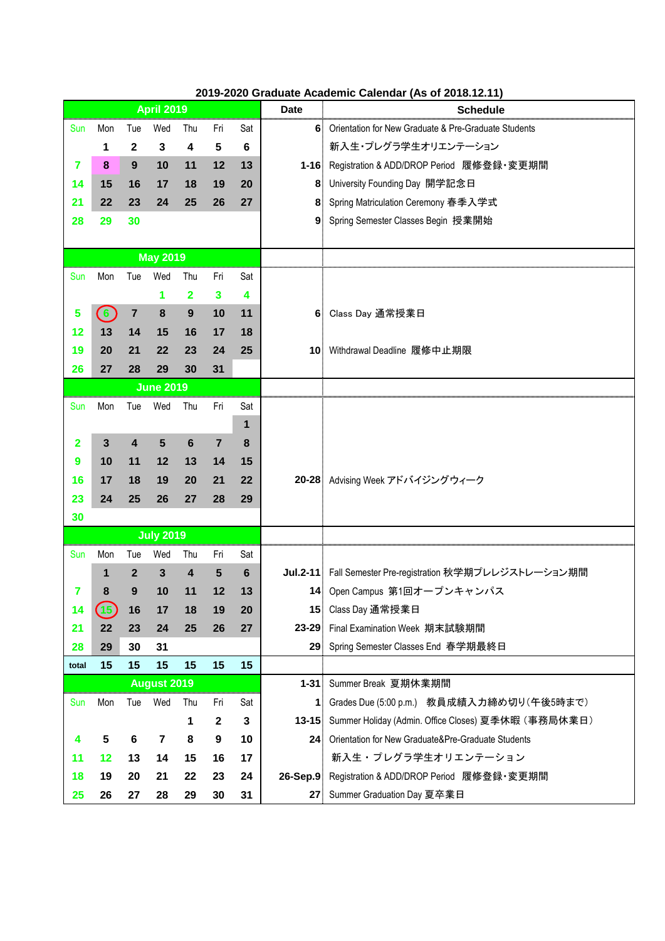|                |                  |                |                    |                         |                |         |                 | $\overline{1}$ . The contract contract $\overline{1}$ of $\overline{2}$ . The contract $\overline{1}$ of $\overline{2}$ . The contract of $\overline{2}$ is $\overline{1}$ in $\overline{2}$ in $\overline{2}$ is $\overline{2}$ in $\overline{2}$ in $\overline{2}$ is $\overline{2}$ in $\overline{2}$ in $\overline{$ |
|----------------|------------------|----------------|--------------------|-------------------------|----------------|---------|-----------------|--------------------------------------------------------------------------------------------------------------------------------------------------------------------------------------------------------------------------------------------------------------------------------------------------------------------------|
|                |                  |                | <b>April 2019</b>  |                         |                |         | <b>Date</b>     | <b>Schedule</b>                                                                                                                                                                                                                                                                                                          |
| Sun            | Mon              | Tue            | Wed                | Thu                     | Fri            | Sat     |                 | 6 Orientation for New Graduate & Pre-Graduate Students                                                                                                                                                                                                                                                                   |
|                | 1                | $\mathbf{2}$   | $\mathbf{3}$       | 4                       | 5              | $\bf 6$ |                 | 新入生・プレグラ学生オリエンテーション                                                                                                                                                                                                                                                                                                      |
| 7              | 8                | 9              | 10                 | 11                      | 12             | 13      |                 | 1-16 Registration & ADD/DROP Period 履修登録·変更期間                                                                                                                                                                                                                                                                            |
| 14             | 15               | 16             | 17                 | 18                      | 19             | 20      |                 | 8 University Founding Day 開学記念日                                                                                                                                                                                                                                                                                          |
| 21             | 22               | 23             | 24                 | 25                      | 26             | 27      |                 | 8 Spring Matriculation Ceremony 春季入学式                                                                                                                                                                                                                                                                                    |
| 28             | 29               | 30             |                    |                         |                |         |                 | 9 Spring Semester Classes Begin 授業開始                                                                                                                                                                                                                                                                                     |
|                |                  |                |                    |                         |                |         |                 |                                                                                                                                                                                                                                                                                                                          |
|                |                  |                | <b>May 2019</b>    |                         |                |         |                 |                                                                                                                                                                                                                                                                                                                          |
| Sun            | Mon              | Tue            | Wed                | Thu                     | Fri            | Sat     |                 |                                                                                                                                                                                                                                                                                                                          |
|                |                  |                | 1                  | $\overline{\mathbf{2}}$ | $\mathbf{3}$   | 4       |                 |                                                                                                                                                                                                                                                                                                                          |
| 5              | $\odot$          | $\overline{7}$ | 8                  | 9                       | 10             | 11      |                 | 6 Class Day 通常授業日                                                                                                                                                                                                                                                                                                        |
| 12             | 13               | 14             | 15                 | 16                      | 17             | 18      |                 |                                                                                                                                                                                                                                                                                                                          |
| 19             | 20               | 21             | 22                 | 23                      | 24             | 25      |                 | 10 Withdrawal Deadline 履修中止期限                                                                                                                                                                                                                                                                                            |
| 26             | 27               | 28             | 29                 | 30                      | 31             |         |                 |                                                                                                                                                                                                                                                                                                                          |
|                | <b>June 2019</b> |                |                    |                         |                |         |                 |                                                                                                                                                                                                                                                                                                                          |
| Sun            | Mon              | Tue            | Wed                | Thu                     | Fri            | Sat     |                 |                                                                                                                                                                                                                                                                                                                          |
|                |                  |                |                    |                         |                | 1       |                 |                                                                                                                                                                                                                                                                                                                          |
| $\overline{2}$ | $\mathbf{3}$     | 4              | 5                  | 6                       | $\overline{7}$ | 8       |                 |                                                                                                                                                                                                                                                                                                                          |
| 9              | 10               | 11             | 12                 | 13                      | 14             | 15      |                 |                                                                                                                                                                                                                                                                                                                          |
| 16             | 17               | 18             | 19                 | 20                      | 21             | 22      |                 | 20-28 Advising Week アドバイジングウィーク                                                                                                                                                                                                                                                                                          |
| 23             | 24               | 25             | 26                 | 27                      | 28             | 29      |                 |                                                                                                                                                                                                                                                                                                                          |
| 30             |                  |                |                    |                         |                |         |                 |                                                                                                                                                                                                                                                                                                                          |
|                |                  |                | <b>July 2019</b>   |                         |                |         |                 |                                                                                                                                                                                                                                                                                                                          |
| Sun            | Mon              | Tue            | Wed                | Thu                     | Fri            | Sat     |                 |                                                                                                                                                                                                                                                                                                                          |
|                | 1                | $\overline{2}$ | $\mathbf{3}$       | 4                       | $5\phantom{1}$ | 6       |                 | Jul.2-11 Fall Semester Pre-registration 秋学期プレレジストレーション期間                                                                                                                                                                                                                                                                 |
| 7              | 8                | 9              | 10                 | 11                      | 12             | 13      |                 | 14 Open Campus 第1回オープンキャンパス                                                                                                                                                                                                                                                                                              |
| 14             | (15)             | 16             | 17                 | 18                      | 19             | 20      |                 | 15 Class Day 通常授業日                                                                                                                                                                                                                                                                                                       |
| 21             | 22               | 23             | 24                 | 25                      | 26             | 27      |                 | 23-29 Final Examination Week 期末試験期間                                                                                                                                                                                                                                                                                      |
| 28             | 29               | 30             | 31                 |                         |                |         | 29 <sup>°</sup> | Spring Semester Classes End 春学期最終日                                                                                                                                                                                                                                                                                       |
| total          | 15               | 15             | 15                 | 15                      | 15             | 15      |                 |                                                                                                                                                                                                                                                                                                                          |
|                |                  |                | <b>August 2019</b> |                         |                |         |                 | 1-31 Summer Break 夏期休業期間                                                                                                                                                                                                                                                                                                 |
| Sun            | Mon              | Tue            | Wed                | Thu                     | Fri            | Sat     |                 | 1 Grades Due (5:00 p.m.) 教員成績入力締め切り(午後5時まで)                                                                                                                                                                                                                                                                              |
|                |                  |                |                    | 1                       | $\mathbf{2}$   | 3       |                 | 13-15 Summer Holiday (Admin. Office Closes) 夏季休暇 (事務局休業日)                                                                                                                                                                                                                                                                |
| 4              | 5                | 6              | 7                  | 8                       | 9              | 10      |                 | 24 Orientation for New Graduate&Pre-Graduate Students                                                                                                                                                                                                                                                                    |
| 11             | 12               | 13             | 14                 | 15                      | 16             | 17      |                 | 新入生・プレグラ学生オリエンテーション                                                                                                                                                                                                                                                                                                      |
| 18             | 19               | 20             | 21                 | 22                      | 23             | 24      |                 | 26-Sep.9 Registration & ADD/DROP Period 履修登録·変更期間                                                                                                                                                                                                                                                                        |
| 25             | 26               | 27             | 28                 | 29                      | 30             | 31      |                 | 27 Summer Graduation Day 夏卒業日                                                                                                                                                                                                                                                                                            |

## **2019-2020 Graduate Academic Calendar (As of 2018.12.11)**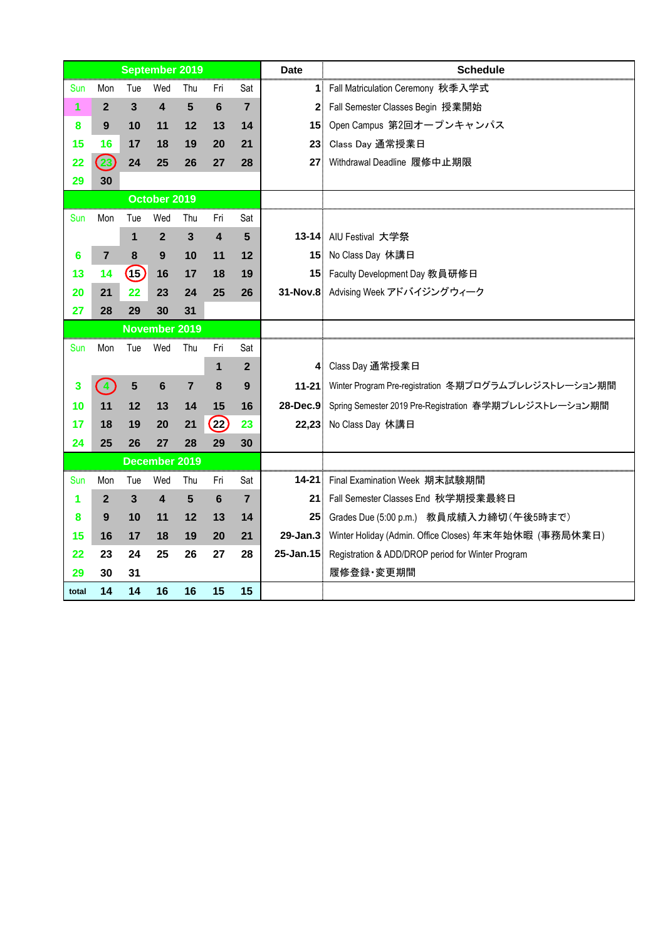|       |                               |                | <b>September 2019</b> |                |                         |                         | <b>Date</b>     | <b>Schedule</b>                                                 |
|-------|-------------------------------|----------------|-----------------------|----------------|-------------------------|-------------------------|-----------------|-----------------------------------------------------------------|
| Sun   | Mon                           | Tue            | Wed                   | Thu            | Fri                     | Sat                     |                 | 1 Fall Matriculation Ceremony 秋季入学式                             |
| 1     | $\mathbf{2}$                  | $\overline{3}$ | 4                     | 5              | 6                       | $\overline{7}$          |                 | 2 Fall Semester Classes Begin 授業開始                              |
| 8     | 9                             | 10             | 11                    | 12             | 13                      | 14                      |                 | 15 Open Campus 第2回オープンキャンパス                                     |
| 15    | 16                            | 17             | 18                    | 19             | 20                      | 21                      | 23 <sup>1</sup> | Class Day 通常授業日                                                 |
| 22    | (23)                          | 24             | 25                    | 26             | 27                      | 28                      |                 | 27 Withdrawal Deadline 履修中止期限                                   |
| 29    | 30                            |                |                       |                |                         |                         |                 |                                                                 |
|       |                               |                | October 2019          |                |                         |                         |                 |                                                                 |
| Sun   | Mon                           | Tue            | Wed                   | Thu            | Fri                     | Sat                     |                 |                                                                 |
|       |                               | 1              | $\mathbf{2}$          | $\mathbf{3}$   | $\overline{\mathbf{4}}$ | 5                       |                 | 13-14 AIU Festival 大学祭                                          |
| 6     | $\overline{7}$                | 8              | 9                     | 10             | 11                      | 12                      |                 | 15 No Class Day 休講日                                             |
| 13    | 14                            | (15)           | 16                    | 17             | 18                      | 19                      |                 | 15 Faculty Development Day 教員研修日                                |
| 20    | 21                            | 22             | 23                    | 24             | 25                      | 26                      |                 | 31-Nov.8 Advising Week アドバイジングウィーク                              |
| 27    | 28                            | 29             | 30                    | 31             |                         |                         |                 |                                                                 |
|       |                               |                | <b>November 2019</b>  |                |                         |                         |                 |                                                                 |
| Sun   | Mon                           | Tue            | Wed                   | Thu            | Fri                     | Sat                     |                 |                                                                 |
|       |                               |                |                       |                | 1                       | $\overline{2}$          |                 | 4 Class Day 通常授業日                                               |
| 3     | $\left\langle 4\right\rangle$ | 5              | 6                     | $\overline{7}$ | 8                       | 9                       |                 | 11-21 Winter Program Pre-registration 冬期プログラムプレレジストレーション期間      |
| 10    | 11                            | 12             | 13                    | 14             | 15                      | 16                      |                 | 28-Dec.9 Spring Semester 2019 Pre-Registration 春学期プレレジストレーション期間 |
| 17    | 18                            | 19             | 20                    | 21             | (22)                    | 23                      |                 | 22,23 No Class Day 休講日                                          |
| 24    | 25                            | 26             | 27                    | 28             | 29                      | 30                      |                 |                                                                 |
|       |                               |                | December 2019         |                |                         |                         |                 |                                                                 |
| Sun   | Mon                           | Tue            | Wed                   | Thu            | Fri                     | Sat                     | $14 - 21$       | Final Examination Week 期末試験期間                                   |
| 1     | $\mathbf{2}$                  | 3              | 4                     | 5              | 6                       | $\overline{\mathbf{7}}$ |                 | 21 Fall Semester Classes End 秋学期授業最終日                           |
| 8     | 9                             | 10             | 11                    | 12             | 13                      | 14                      |                 | 25 Grades Due (5:00 p.m.) 教員成績入力締切 (午後5時まで)                     |
| 15    | 16                            | 17             | 18                    | 19             | 20                      | 21                      |                 | 29-Jan.3 Winter Holiday (Admin. Office Closes) 年末年始休暇 (事務局休業日)  |
| 22    | 23                            | 24             | 25                    | 26             | 27                      | 28                      |                 | 25-Jan.15 Registration & ADD/DROP period for Winter Program     |
| 29    | 30                            | 31             |                       |                |                         |                         |                 | 履修登録·変更期間                                                       |
| total | 14                            | 14             | 16                    | 16             | 15                      | 15                      |                 |                                                                 |